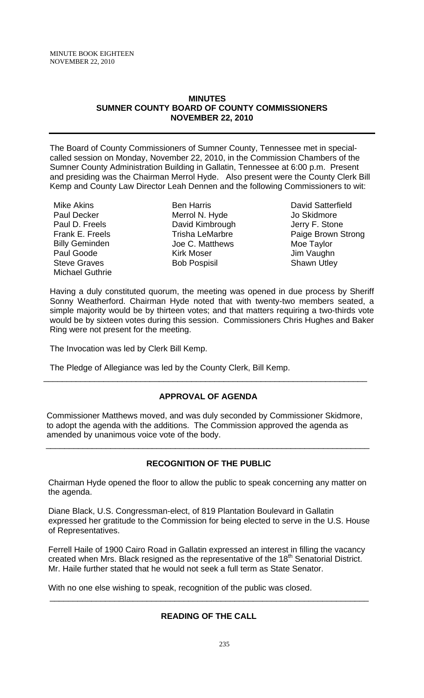## **MINUTES SUMNER COUNTY BOARD OF COUNTY COMMISSIONERS NOVEMBER 22, 2010**

The Board of County Commissioners of Sumner County, Tennessee met in specialcalled session on Monday, November 22, 2010, in the Commission Chambers of the Sumner County Administration Building in Gallatin, Tennessee at 6:00 p.m. Present and presiding was the Chairman Merrol Hyde. Also present were the County Clerk Bill Kemp and County Law Director Leah Dennen and the following Commissioners to wit:

- Mike Akins Paul Decker Paul D. Freels Frank E. Freels Billy Geminden Paul Goode Steve Graves Michael Guthrie
- Ben Harris Merrol N. Hyde David Kimbrough Trisha LeMarbre Joe C. Matthews Kirk Moser Bob Pospisil
- David Satterfield Jo Skidmore Jerry F. Stone Paige Brown Strong Moe Taylor Jim Vaughn Shawn Utley

Having a duly constituted quorum, the meeting was opened in due process by Sheriff Sonny Weatherford. Chairman Hyde noted that with twenty-two members seated, a simple majority would be by thirteen votes; and that matters requiring a two-thirds vote would be by sixteen votes during this session. Commissioners Chris Hughes and Baker Ring were not present for the meeting.

The Invocation was led by Clerk Bill Kemp.

The Pledge of Allegiance was led by the County Clerk, Bill Kemp.

# **APPROVAL OF AGENDA**

\_\_\_\_\_\_\_\_\_\_\_\_\_\_\_\_\_\_\_\_\_\_\_\_\_\_\_\_\_\_\_\_\_\_\_\_\_\_\_\_\_\_\_\_\_\_\_\_\_\_\_\_\_\_\_\_\_\_\_\_\_\_\_\_\_\_\_\_\_\_

 Commissioner Matthews moved, and was duly seconded by Commissioner Skidmore, to adopt the agenda with the additions. The Commission approved the agenda as amended by unanimous voice vote of the body.

# **RECOGNITION OF THE PUBLIC**

\_\_\_\_\_\_\_\_\_\_\_\_\_\_\_\_\_\_\_\_\_\_\_\_\_\_\_\_\_\_\_\_\_\_\_\_\_\_\_\_\_\_\_\_\_\_\_\_\_\_\_\_\_\_\_\_\_\_\_\_\_\_\_\_\_\_\_\_\_\_

 Chairman Hyde opened the floor to allow the public to speak concerning any matter on the agenda.

 Diane Black, U.S. Congressman-elect, of 819 Plantation Boulevard in Gallatin expressed her gratitude to the Commission for being elected to serve in the U.S. House of Representatives.

 Ferrell Haile of 1900 Cairo Road in Gallatin expressed an interest in filling the vacancy created when Mrs. Black resigned as the representative of the 18<sup>th</sup> Senatorial District. Mr. Haile further stated that he would not seek a full term as State Senator.

With no one else wishing to speak, recognition of the public was closed.

# **READING OF THE CALL**

\_\_\_\_\_\_\_\_\_\_\_\_\_\_\_\_\_\_\_\_\_\_\_\_\_\_\_\_\_\_\_\_\_\_\_\_\_\_\_\_\_\_\_\_\_\_\_\_\_\_\_\_\_\_\_\_\_\_\_\_\_\_\_\_\_\_\_\_\_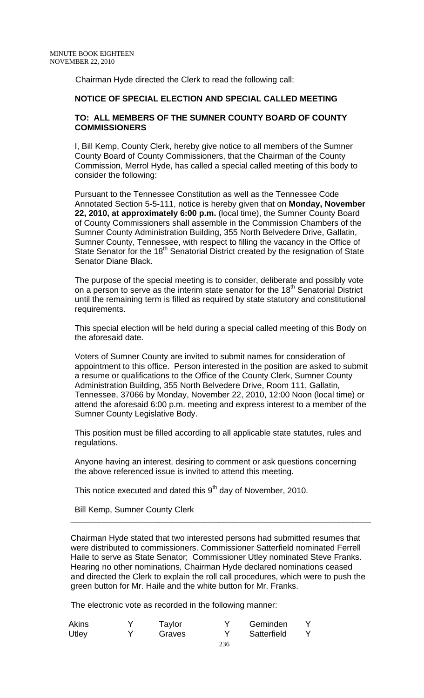Chairman Hyde directed the Clerk to read the following call:

## **NOTICE OF SPECIAL ELECTION AND SPECIAL CALLED MEETING**

### **TO: ALL MEMBERS OF THE SUMNER COUNTY BOARD OF COUNTY COMMISSIONERS**

I, Bill Kemp, County Clerk, hereby give notice to all members of the Sumner County Board of County Commissioners, that the Chairman of the County Commission, Merrol Hyde, has called a special called meeting of this body to consider the following:

Pursuant to the Tennessee Constitution as well as the Tennessee Code Annotated Section 5-5-111, notice is hereby given that on **Monday, November 22, 2010, at approximately 6:00 p.m.** (local time), the Sumner County Board of County Commissioners shall assemble in the Commission Chambers of the Sumner County Administration Building, 355 North Belvedere Drive, Gallatin, Sumner County, Tennessee, with respect to filling the vacancy in the Office of State Senator for the 18<sup>th</sup> Senatorial District created by the resignation of State Senator Diane Black.

The purpose of the special meeting is to consider, deliberate and possibly vote on a person to serve as the interim state senator for the  $18<sup>th</sup>$  Senatorial District until the remaining term is filled as required by state statutory and constitutional requirements.

This special election will be held during a special called meeting of this Body on the aforesaid date.

Voters of Sumner County are invited to submit names for consideration of appointment to this office. Person interested in the position are asked to submit a resume or qualifications to the Office of the County Clerk, Sumner County Administration Building, 355 North Belvedere Drive, Room 111, Gallatin, Tennessee, 37066 by Monday, November 22, 2010, 12:00 Noon (local time) or attend the aforesaid 6:00 p.m. meeting and express interest to a member of the Sumner County Legislative Body.

This position must be filled according to all applicable state statutes, rules and regulations.

Anyone having an interest, desiring to comment or ask questions concerning the above referenced issue is invited to attend this meeting.

 **\_\_\_\_\_\_\_\_\_\_\_\_\_\_\_\_\_\_\_\_\_\_\_\_\_\_\_\_\_\_\_\_\_\_\_\_\_\_\_\_\_\_\_\_\_\_\_\_\_\_\_\_\_\_\_\_\_\_\_\_\_\_\_\_\_** 

This notice executed and dated this  $9<sup>th</sup>$  day of November, 2010.

Bill Kemp, Sumner County Clerk

Chairman Hyde stated that two interested persons had submitted resumes that were distributed to commissioners. Commissioner Satterfield nominated Ferrell Haile to serve as State Senator; Commissioner Utley nominated Steve Franks. Hearing no other nominations, Chairman Hyde declared nominations ceased and directed the Clerk to explain the roll call procedures, which were to push the green button for Mr. Haile and the white button for Mr. Franks.

The electronic vote as recorded in the following manner:

| Akins | Taylor | Geminden    |  |
|-------|--------|-------------|--|
| Utley | Graves | Satterfield |  |
|       |        |             |  |